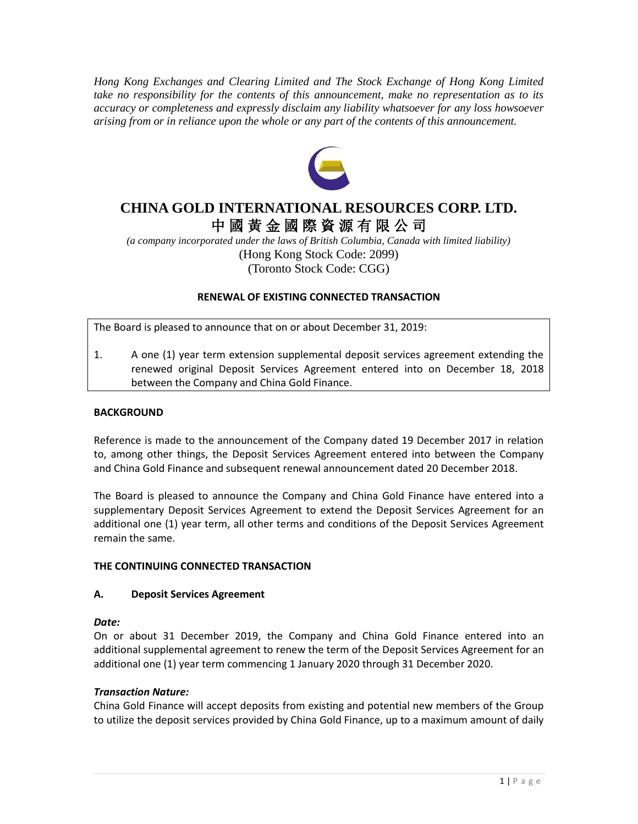*Hong Kong Exchanges and Clearing Limited and The Stock Exchange of Hong Kong Limited take no responsibility for the contents of this announcement, make no representation as to its accuracy or completeness and expressly disclaim any liability whatsoever for any loss howsoever arising from or in reliance upon the whole or any part of the contents of this announcement.*



# **CHINA GOLD INTERNATIONAL RESOURCES CORP. LTD.** 中 國 黃 金 國 際 資 源 有 限 公 司

*(a company incorporated under the laws of British Columbia, Canada with limited liability)* (Hong Kong Stock Code: 2099) (Toronto Stock Code: CGG)

# **RENEWAL OF EXISTING CONNECTED TRANSACTION**

The Board is pleased to announce that on or about December 31, 2019:

1. A one (1) year term extension supplemental deposit services agreement extending the renewed original Deposit Services Agreement entered into on December 18, 2018 between the Company and China Gold Finance.

# **BACKGROUND**

Reference is made to the announcement of the Company dated 19 December 2017 in relation to, among other things, the Deposit Services Agreement entered into between the Company and China Gold Finance and subsequent renewal announcement dated 20 December 2018.

The Board is pleased to announce the Company and China Gold Finance have entered into a supplementary Deposit Services Agreement to extend the Deposit Services Agreement for an additional one (1) year term, all other terms and conditions of the Deposit Services Agreement remain the same.

## **THE CONTINUING CONNECTED TRANSACTION**

## **A. Deposit Services Agreement**

## *Date:*

On or about 31 December 2019, the Company and China Gold Finance entered into an additional supplemental agreement to renew the term of the Deposit Services Agreement for an additional one (1) year term commencing 1 January 2020 through 31 December 2020.

## *Transaction Nature:*

China Gold Finance will accept deposits from existing and potential new members of the Group to utilize the deposit services provided by China Gold Finance, up to a maximum amount of daily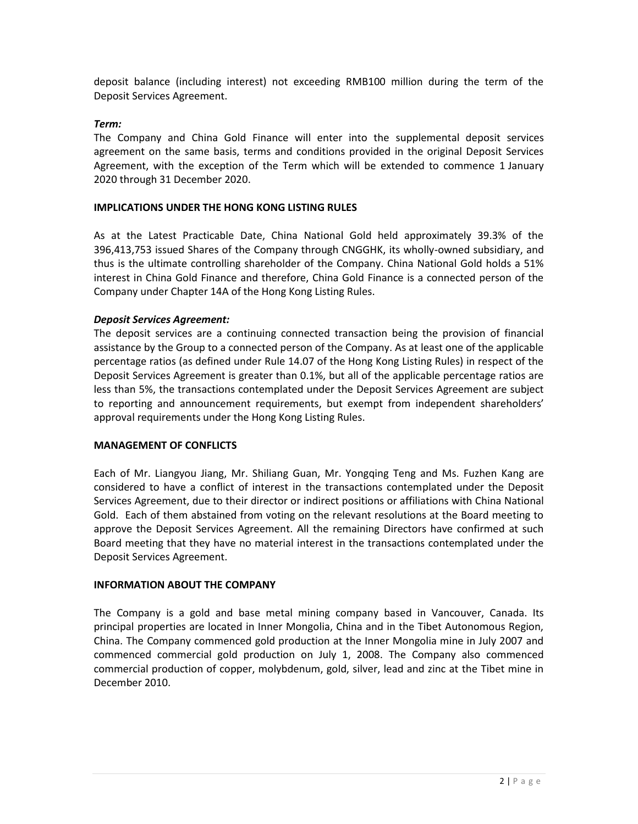deposit balance (including interest) not exceeding RMB100 million during the term of the Deposit Services Agreement.

# *Term:*

The Company and China Gold Finance will enter into the supplemental deposit services agreement on the same basis, terms and conditions provided in the original Deposit Services Agreement, with the exception of the Term which will be extended to commence 1 January 2020 through 31 December 2020.

## **IMPLICATIONS UNDER THE HONG KONG LISTING RULES**

As at the Latest Practicable Date, China National Gold held approximately 39.3% of the 396,413,753 issued Shares of the Company through CNGGHK, its wholly-owned subsidiary, and thus is the ultimate controlling shareholder of the Company. China National Gold holds a 51% interest in China Gold Finance and therefore, China Gold Finance is a connected person of the Company under Chapter 14A of the Hong Kong Listing Rules.

## *Deposit Services Agreement:*

The deposit services are a continuing connected transaction being the provision of financial assistance by the Group to a connected person of the Company. As at least one of the applicable percentage ratios (as defined under Rule 14.07 of the Hong Kong Listing Rules) in respect of the Deposit Services Agreement is greater than 0.1%, but all of the applicable percentage ratios are less than 5%, the transactions contemplated under the Deposit Services Agreement are subject to reporting and announcement requirements, but exempt from independent shareholders' approval requirements under the Hong Kong Listing Rules.

## **MANAGEMENT OF CONFLICTS**

Each of Mr. Liangyou Jiang, Mr. Shiliang Guan, Mr. Yongqing Teng and Ms. Fuzhen Kang are considered to have a conflict of interest in the transactions contemplated under the Deposit Services Agreement, due to their director or indirect positions or affiliations with China National Gold. Each of them abstained from voting on the relevant resolutions at the Board meeting to approve the Deposit Services Agreement. All the remaining Directors have confirmed at such Board meeting that they have no material interest in the transactions contemplated under the Deposit Services Agreement.

## **INFORMATION ABOUT THE COMPANY**

The Company is a gold and base metal mining company based in Vancouver, Canada. Its principal properties are located in Inner Mongolia, China and in the Tibet Autonomous Region, China. The Company commenced gold production at the Inner Mongolia mine in July 2007 and commenced commercial gold production on July 1, 2008. The Company also commenced commercial production of copper, molybdenum, gold, silver, lead and zinc at the Tibet mine in December 2010.